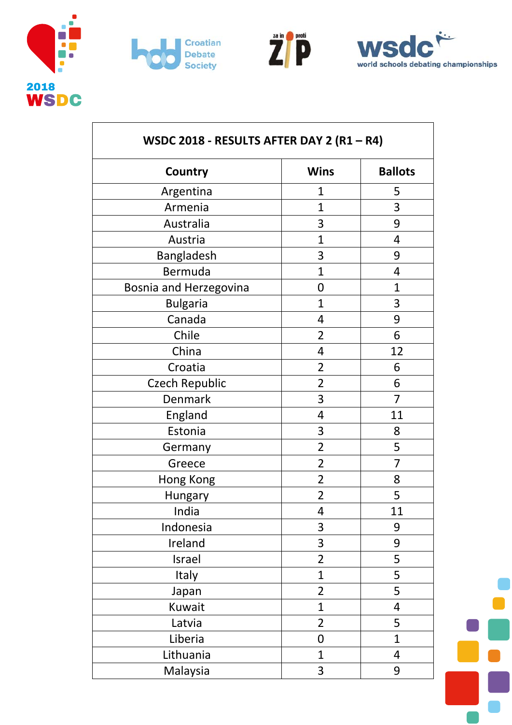







| WSDC 2018 - RESULTS AFTER DAY 2 (R1 - R4) |                |                |  |
|-------------------------------------------|----------------|----------------|--|
| Country                                   | <b>Wins</b>    | <b>Ballots</b> |  |
| Argentina                                 | 1              | 5              |  |
| Armenia                                   | $\mathbf{1}$   | 3              |  |
| Australia                                 | 3              | 9              |  |
| Austria                                   | $\mathbf{1}$   | $\overline{4}$ |  |
| Bangladesh                                | 3              | 9              |  |
| Bermuda                                   | $\overline{1}$ | 4              |  |
| Bosnia and Herzegovina                    | $\mathbf 0$    | $\overline{1}$ |  |
| <b>Bulgaria</b>                           | $\mathbf{1}$   | 3              |  |
| Canada                                    | 4              | 9              |  |
| Chile                                     | $\overline{2}$ | 6              |  |
| China                                     | 4              | 12             |  |
| Croatia                                   | $\overline{2}$ | 6              |  |
| <b>Czech Republic</b>                     | $\overline{2}$ | 6              |  |
| <b>Denmark</b>                            | 3              | 7              |  |
| England                                   | 4              | 11             |  |
| Estonia                                   | 3              | 8              |  |
| Germany                                   | $\overline{2}$ | 5              |  |
| Greece                                    | $\overline{2}$ | 7              |  |
| Hong Kong                                 | $\overline{2}$ | 8              |  |
| Hungary                                   | $\overline{2}$ | 5              |  |
| India                                     | 4              | <u>11</u>      |  |
| Indonesia                                 | 3              | 9              |  |
| Ireland                                   | 3              | 9              |  |
| Israel                                    | $\overline{2}$ | 5              |  |
| Italy                                     | $\mathbf{1}$   | 5              |  |
| Japan                                     | $\overline{2}$ | 5              |  |
| Kuwait                                    | $\mathbf 1$    | 4              |  |
| Latvia                                    | $\overline{2}$ | 5              |  |
| Liberia                                   | 0              | $\overline{1}$ |  |
| Lithuania                                 | $\mathbf{1}$   | 4              |  |
| Malaysia                                  | 3              | 9              |  |